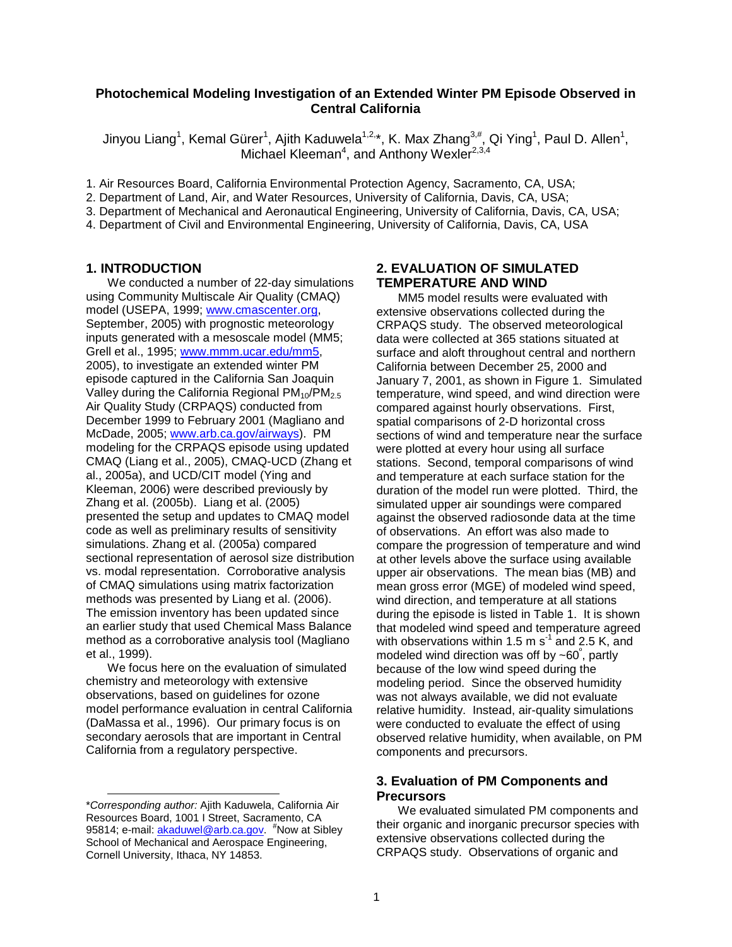### **Photochemical Modeling Investigation of an Extended Winter PM Episode Observed in Central California**

Jinyou Liang<sup>1</sup>, Kemal Gürer<sup>1</sup>, Ajith Kaduwela<sup>1,2,</sup>\*, K. Max Zhang<sup>3,#</sup>, Qi Ying<sup>1</sup>, Paul D. Allen<sup>1</sup>, Michael Kleeman<sup>4</sup>, and Anthony Wexler<sup>2,3,4</sup>

1. Air Resources Board, California Environmental Protection Agency, Sacramento, CA, USA;

2. Department of Land, Air, and Water Resources, University of California, Davis, CA, USA;

3. Department of Mechanical and Aeronautical Engineering, University of California, Davis, CA, USA;

4. Department of Civil and Environmental Engineering, University of California, Davis, CA, USA

#### **1. INTRODUCTION**

We conducted a number of 22-day simulations using Community Multiscale Air Quality (CMAQ) model (USEPA, 1999; www.cmascenter.org, September, 2005) with prognostic meteorology inputs generated with a mesoscale model (MM5; Grell et al., 1995; www.mmm.ucar.edu/mm5, 2005), to investigate an extended winter PM episode captured in the California San Joaquin Valley during the California Regional  $PM_{10}/PM_{2.5}$ Air Quality Study (CRPAQS) conducted from December 1999 to February 2001 (Magliano and McDade, 2005; www.arb.ca.gov/airways). PM modeling for the CRPAQS episode using updated CMAQ (Liang et al., 2005), CMAQ-UCD (Zhang et al., 2005a), and UCD/CIT model (Ying and Kleeman, 2006) were described previously by Zhang et al. (2005b). Liang et al. (2005) presented the setup and updates to CMAQ model code as well as preliminary results of sensitivity simulations. Zhang et al. (2005a) compared sectional representation of aerosol size distribution vs. modal representation. Corroborative analysis of CMAQ simulations using matrix factorization methods was presented by Liang et al. (2006). The emission inventory has been updated since an earlier study that used Chemical Mass Balance method as a corroborative analysis tool (Magliano et al., 1999).

We focus here on the evaluation of simulated chemistry and meteorology with extensive observations, based on guidelines for ozone model performance evaluation in central California (DaMassa et al., 1996). Our primary focus is on secondary aerosols that are important in Central California from a regulatory perspective.

l

# **2. EVALUATION OF SIMULATED TEMPERATURE AND WIND**

MM5 model results were evaluated with extensive observations collected during the CRPAQS study. The observed meteorological data were collected at 365 stations situated at surface and aloft throughout central and northern California between December 25, 2000 and January 7, 2001, as shown in Figure 1. Simulated temperature, wind speed, and wind direction were compared against hourly observations. First, spatial comparisons of 2-D horizontal cross sections of wind and temperature near the surface were plotted at every hour using all surface stations. Second, temporal comparisons of wind and temperature at each surface station for the duration of the model run were plotted. Third, the simulated upper air soundings were compared against the observed radiosonde data at the time of observations. An effort was also made to compare the progression of temperature and wind at other levels above the surface using available upper air observations. The mean bias (MB) and mean gross error (MGE) of modeled wind speed, wind direction, and temperature at all stations during the episode is listed in Table 1. It is shown that modeled wind speed and temperature agreed with observations within 1.5 m  $s^{-1}$  and 2.5 K, and modeled wind direction was off by  $\sim$  60°, partly because of the low wind speed during the modeling period. Since the observed humidity was not always available, we did not evaluate relative humidity. Instead, air-quality simulations were conducted to evaluate the effect of using observed relative humidity, when available, on PM components and precursors.

### **3. Evaluation of PM Components and Precursors**

We evaluated simulated PM components and their organic and inorganic precursor species with extensive observations collected during the CRPAQS study. Observations of organic and

<sup>\*</sup>Corresponding author: Ajith Kaduwela, California Air Resources Board, 1001 I Street, Sacramento, CA 95814; e-mail: **akaduwel@arb.ca.gov.** <sup>#</sup>Now at Sibley School of Mechanical and Aerospace Engineering, Cornell University, Ithaca, NY 14853.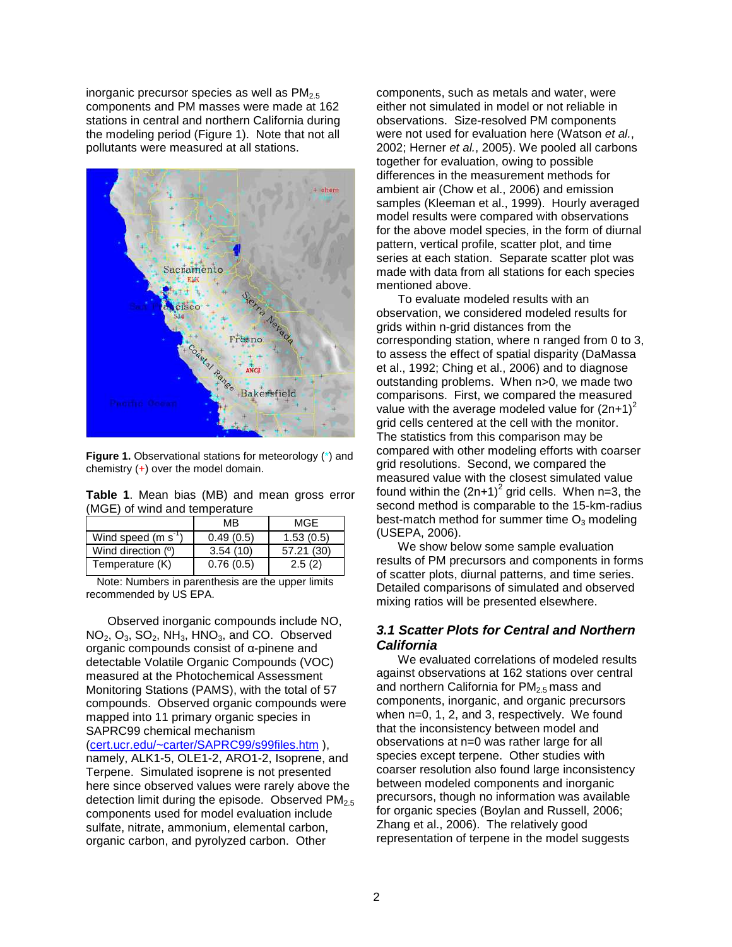inorganic precursor species as well as  $PM<sub>2.5</sub>$ components and PM masses were made at 162 stations in central and northern California during the modeling period (Figure 1). Note that not all pollutants were measured at all stations.



**Figure 1.** Observational stations for meteorology (\*) and chemistry  $(+)$  over the model domain.

**Table 1**. Mean bias (MB) and mean gross error (MGE) of wind and temperature

|                               | MB        | MGF        |  |
|-------------------------------|-----------|------------|--|
| Wind speed (m s <sup>-1</sup> | 0.49(0.5) | 1.53(0.5)  |  |
| Wind direction (°)            | 3.54(10)  | 57.21 (30) |  |
| Temperature (K)               | 0.76(0.5) | 2.5(2)     |  |

Note: Numbers in parenthesis are the upper limits recommended by US EPA.

Observed inorganic compounds include NO, NO<sub>2</sub>, O<sub>3</sub>, SO<sub>2</sub>, NH<sub>3</sub>, HNO<sub>3</sub>, and CO. Observed organic compounds consist of α-pinene and detectable Volatile Organic Compounds (VOC) measured at the Photochemical Assessment Monitoring Stations (PAMS), with the total of 57 compounds. Observed organic compounds were mapped into 11 primary organic species in SAPRC99 chemical mechanism

(cert.ucr.edu/~carter/SAPRC99/s99files.htm ), namely, ALK1-5, OLE1-2, ARO1-2, Isoprene, and Terpene. Simulated isoprene is not presented here since observed values were rarely above the detection limit during the episode. Observed  $PM<sub>2.5</sub>$ components used for model evaluation include sulfate, nitrate, ammonium, elemental carbon, organic carbon, and pyrolyzed carbon. Other

components, such as metals and water, were either not simulated in model or not reliable in observations. Size-resolved PM components were not used for evaluation here (Watson et al., 2002; Herner et al., 2005). We pooled all carbons together for evaluation, owing to possible differences in the measurement methods for ambient air (Chow et al., 2006) and emission samples (Kleeman et al., 1999). Hourly averaged model results were compared with observations for the above model species, in the form of diurnal pattern, vertical profile, scatter plot, and time series at each station. Separate scatter plot was made with data from all stations for each species mentioned above.

To evaluate modeled results with an observation, we considered modeled results for grids within n-grid distances from the corresponding station, where n ranged from 0 to 3, to assess the effect of spatial disparity (DaMassa et al., 1992; Ching et al., 2006) and to diagnose outstanding problems. When n>0, we made two comparisons. First, we compared the measured value with the average modeled value for  $(2n+1)^2$ grid cells centered at the cell with the monitor. The statistics from this comparison may be compared with other modeling efforts with coarser grid resolutions. Second, we compared the measured value with the closest simulated value found within the  $(2n+1)^2$  grid cells. When n=3, the second method is comparable to the 15-km-radius best-match method for summer time  $O_3$  modeling (USEPA, 2006).

We show below some sample evaluation results of PM precursors and components in forms of scatter plots, diurnal patterns, and time series. Detailed comparisons of simulated and observed mixing ratios will be presented elsewhere.

### **3.1 Scatter Plots for Central and Northern California**

We evaluated correlations of modeled results against observations at 162 stations over central and northern California for  $PM<sub>2.5</sub>$  mass and components, inorganic, and organic precursors when n=0, 1, 2, and 3, respectively. We found that the inconsistency between model and observations at n=0 was rather large for all species except terpene. Other studies with coarser resolution also found large inconsistency between modeled components and inorganic precursors, though no information was available for organic species (Boylan and Russell, 2006; Zhang et al., 2006). The relatively good representation of terpene in the model suggests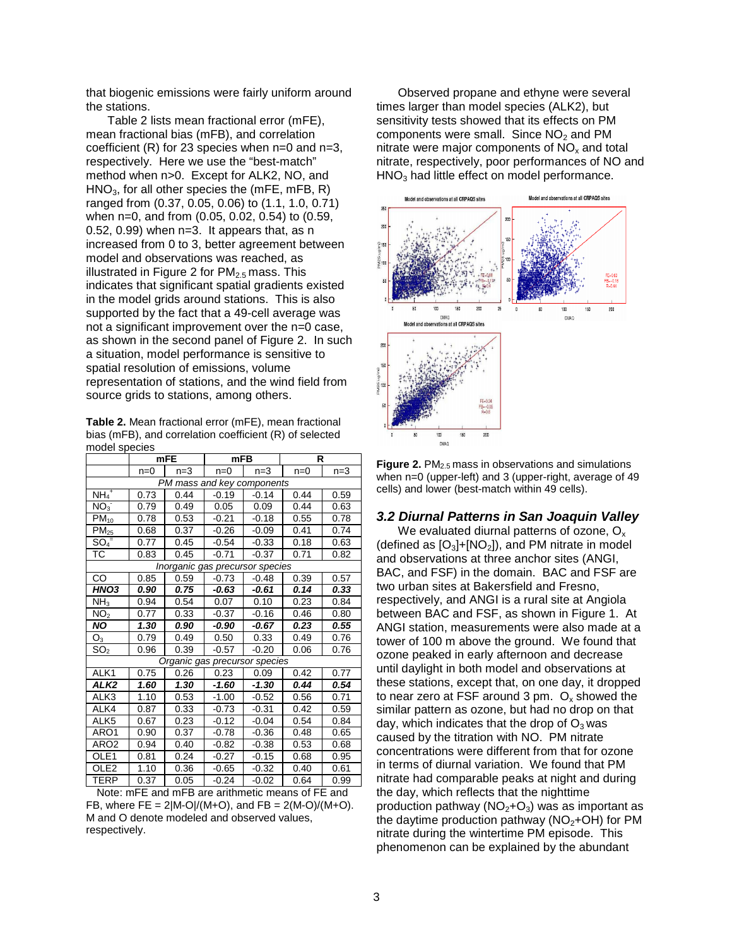that biogenic emissions were fairly uniform around the stations.

Table 2 lists mean fractional error (mFE), mean fractional bias (mFB), and correlation coefficient  $(R)$  for 23 species when  $n=0$  and  $n=3$ , respectively. Here we use the "best-match" method when n>0. Except for ALK2, NO, and  $HNO<sub>3</sub>$ , for all other species the (mFE, mFB, R) ranged from (0.37, 0.05, 0.06) to (1.1, 1.0, 0.71) when n=0, and from (0.05, 0.02, 0.54) to (0.59, 0.52, 0.99) when n=3. It appears that, as n increased from 0 to 3, better agreement between model and observations was reached, as illustrated in Figure 2 for  $PM_{2.5}$  mass. This indicates that significant spatial gradients existed in the model grids around stations. This is also supported by the fact that a 49-cell average was not a significant improvement over the n=0 case, as shown in the second panel of Figure 2. In such a situation, model performance is sensitive to spatial resolution of emissions, volume representation of stations, and the wind field from source grids to stations, among others.

**Table 2.** Mean fractional error (mFE), mean fractional bias (mFB), and correlation coefficient (R) of selected model species

|                                 | <b>mFE</b> |       | <b>mFB</b> |         | R     |       |  |  |
|---------------------------------|------------|-------|------------|---------|-------|-------|--|--|
|                                 | $n=0$      | $n=3$ | $n=0$      | $n=3$   | $n=0$ | $n=3$ |  |  |
| PM mass and key components      |            |       |            |         |       |       |  |  |
| $NH_4$ <sup>+</sup>             | 0.73       | 0.44  | $-0.19$    | $-0.14$ | 0.44  | 0.59  |  |  |
| NO <sub>3</sub>                 | 0.79       | 0.49  | 0.05       | 0.09    | 0.44  | 0.63  |  |  |
| $\overline{PM}_{10}$            | 0.78       | 0.53  | $-0.21$    | $-0.18$ | 0.55  | 0.78  |  |  |
| $PM_{25}$                       | 0.68       | 0.37  | $-0.26$    | $-0.09$ | 0.41  | 0.74  |  |  |
| $SO_4^-$                        | 0.77       | 0.45  | $-0.54$    | $-0.33$ | 0.18  | 0.63  |  |  |
| ТC                              | 0.83       | 0.45  | $-0.71$    | $-0.37$ | 0.71  | 0.82  |  |  |
| Inorganic gas precursor species |            |       |            |         |       |       |  |  |
| CO                              | 0.85       | 0.59  | $-0.73$    | $-0.48$ | 0.39  | 0.57  |  |  |
| HNO <sub>3</sub>                | 0.90       | 0.75  | -0.63      | -0.61   | 0.14  | 0.33  |  |  |
| NH <sub>3</sub>                 | 0.94       | 0.54  | 0.07       | 0.10    | 0.23  | 0.84  |  |  |
| $\overline{\text{NO}}_2$        | 0.77       | 0.33  | $-0.37$    | $-0.16$ | 0.46  | 0.80  |  |  |
| ΝO                              | 1.30       | 0.90  | -0.90      | -0.67   | 0.23  | 0.55  |  |  |
| $\overline{\text{O}}_3$         | 0.79       | 0.49  | 0.50       | 0.33    | 0.49  | 0.76  |  |  |
| SO <sub>2</sub>                 | 0.96       | 0.39  | $-0.57$    | $-0.20$ | 0.06  | 0.76  |  |  |
| Organic gas precursor species   |            |       |            |         |       |       |  |  |
| ALK1                            | 0.75       | 0.26  | 0.23       | 0.09    | 0.42  | 0.77  |  |  |
| ALK <sub>2</sub>                | 1.60       | 1.30  | $-1.60$    | $-1.30$ | 0.44  | 0.54  |  |  |
| ALK3                            | 1.10       | 0.53  | $-1.00$    | $-0.52$ | 0.56  | 0.71  |  |  |
| ALK4                            | 0.87       | 0.33  | $-0.73$    | $-0.31$ | 0.42  | 0.59  |  |  |
| ALK <sub>5</sub>                | 0.67       | 0.23  | $-0.12$    | $-0.04$ | 0.54  | 0.84  |  |  |
| ARO1                            | 0.90       | 0.37  | $-0.78$    | $-0.36$ | 0.48  | 0.65  |  |  |
| ARO <sub>2</sub>                | 0.94       | 0.40  | $-0.82$    | $-0.38$ | 0.53  | 0.68  |  |  |
| OLE1                            | 0.81       | 0.24  | $-0.27$    | $-0.15$ | 0.68  | 0.95  |  |  |
| OLE <sub>2</sub>                | 1.10       | 0.36  | $-0.65$    | $-0.32$ | 0.40  | 0.61  |  |  |
| <b>TERP</b>                     | 0.37       | 0.05  | $-0.24$    | $-0.02$ | 0.64  | 0.99  |  |  |

Note: mFE and mFB are arithmetic means of FE and FB, where  $FE = 2|M-O|/(M+O)$ , and  $FB = 2(M-O)/(M+O)$ . M and O denote modeled and observed values, respectively.

Observed propane and ethyne were several times larger than model species (ALK2), but sensitivity tests showed that its effects on PM components were small. Since  $NO<sub>2</sub>$  and PM nitrate were major components of  $NO<sub>x</sub>$  and total nitrate, respectively, poor performances of NO and  $HNO<sub>3</sub>$  had little effect on model performance.



**Figure 2.** PM<sub>2.5</sub> mass in observations and simulations when n=0 (upper-left) and 3 (upper-right, average of 49 cells) and lower (best-match within 49 cells).

# **3.2 Diurnal Patterns in San Joaquin Valley**

We evaluated diurnal patterns of ozone,  $O<sub>x</sub>$ (defined as  $[O_3]+[NO_2]$ ), and PM nitrate in model and observations at three anchor sites (ANGI, BAC, and FSF) in the domain. BAC and FSF are two urban sites at Bakersfield and Fresno, respectively, and ANGI is a rural site at Angiola between BAC and FSF, as shown in Figure 1. At ANGI station, measurements were also made at a tower of 100 m above the ground. We found that ozone peaked in early afternoon and decrease until daylight in both model and observations at these stations, except that, on one day, it dropped to near zero at FSF around 3 pm.  $O_x$  showed the similar pattern as ozone, but had no drop on that day, which indicates that the drop of  $O_3$  was caused by the titration with NO. PM nitrate concentrations were different from that for ozone in terms of diurnal variation. We found that PM nitrate had comparable peaks at night and during the day, which reflects that the nighttime production pathway ( $NO<sub>2</sub>+O<sub>3</sub>$ ) was as important as the daytime production pathway ( $NO<sub>2</sub>+OH$ ) for PM nitrate during the wintertime PM episode. This phenomenon can be explained by the abundant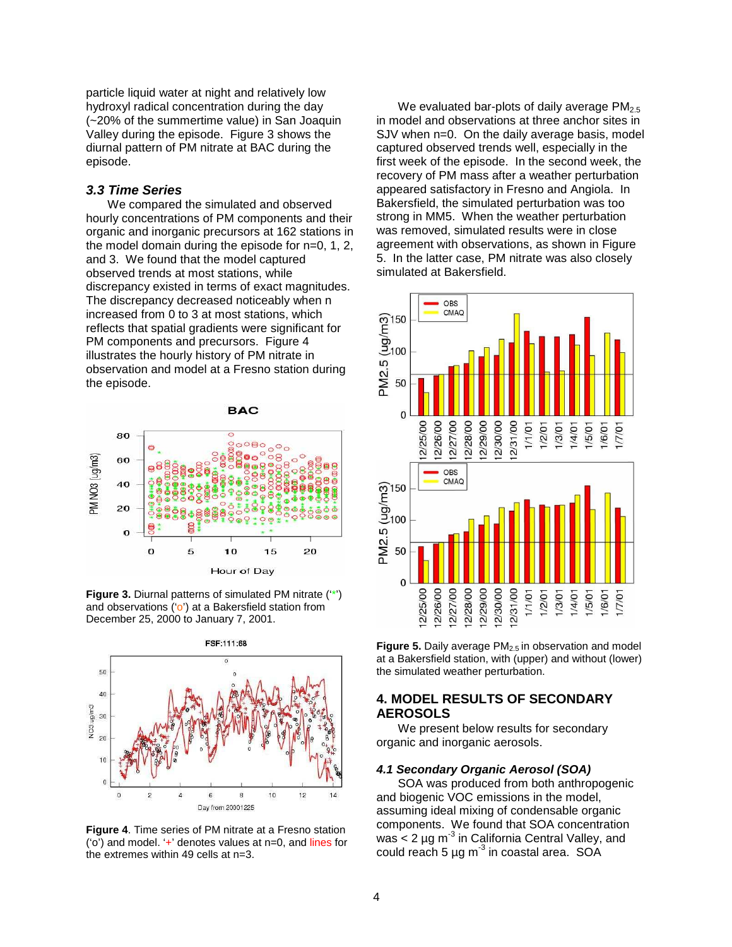particle liquid water at night and relatively low hydroxyl radical concentration during the day (~20% of the summertime value) in San Joaquin Valley during the episode. Figure 3 shows the diurnal pattern of PM nitrate at BAC during the episode.

### **3.3 Time Series**

We compared the simulated and observed hourly concentrations of PM components and their organic and inorganic precursors at 162 stations in the model domain during the episode for n=0, 1, 2, and 3. We found that the model captured observed trends at most stations, while discrepancy existed in terms of exact magnitudes. The discrepancy decreased noticeably when n increased from 0 to 3 at most stations, which reflects that spatial gradients were significant for PM components and precursors. Figure 4 illustrates the hourly history of PM nitrate in observation and model at a Fresno station during the episode.



**Figure 3.** Diurnal patterns of simulated PM nitrate ('\*') and observations ('o') at a Bakersfield station from December 25, 2000 to January 7, 2001.



**Figure 4**. Time series of PM nitrate at a Fresno station ('o') and model. '+' denotes values at n=0, and lines for the extremes within 49 cells at n=3.

We evaluated bar-plots of daily average  $PM_{2.5}$ in model and observations at three anchor sites in SJV when n=0. On the daily average basis, model captured observed trends well, especially in the first week of the episode. In the second week, the recovery of PM mass after a weather perturbation appeared satisfactory in Fresno and Angiola. In Bakersfield, the simulated perturbation was too strong in MM5. When the weather perturbation was removed, simulated results were in close agreement with observations, as shown in Figure 5. In the latter case, PM nitrate was also closely simulated at Bakersfield.



**Figure 5.** Daily average PM<sub>2.5</sub> in observation and model at a Bakersfield station, with (upper) and without (lower) the simulated weather perturbation.

# **4. MODEL RESULTS OF SECONDARY AEROSOLS**

We present below results for secondary organic and inorganic aerosols.

#### **4.1 Secondary Organic Aerosol (SOA)**

SOA was produced from both anthropogenic and biogenic VOC emissions in the model, assuming ideal mixing of condensable organic components. We found that SOA concentration was  $<$  2 µg m<sup>-3</sup> in California Central Valley, and could reach 5  $\mu$ g m<sup>-3</sup> in coastal area. SOA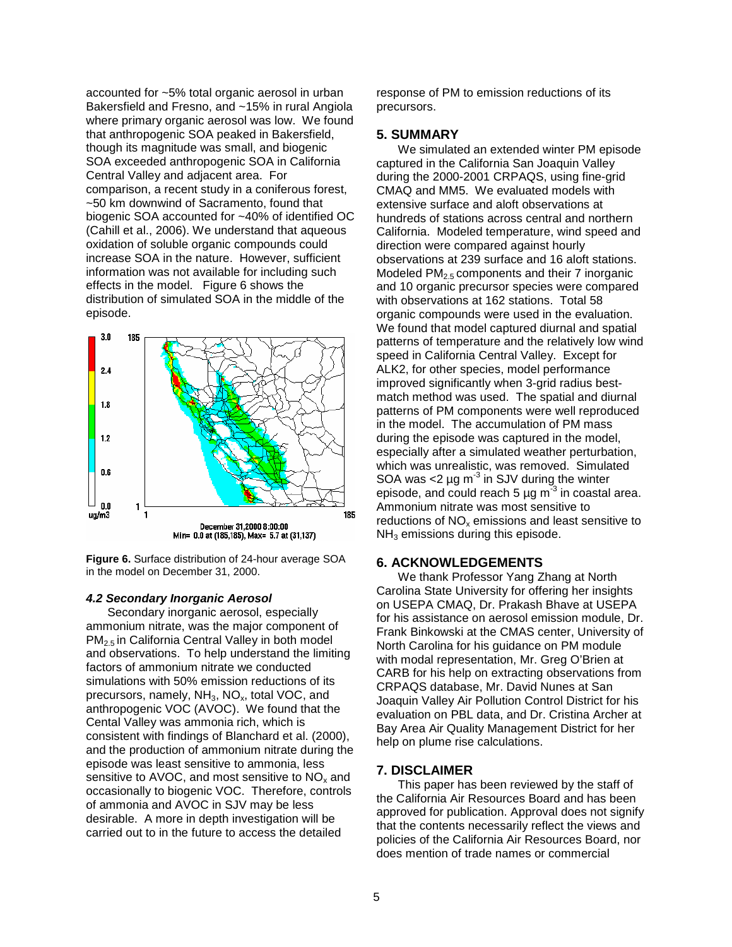accounted for ~5% total organic aerosol in urban Bakersfield and Fresno, and ~15% in rural Angiola where primary organic aerosol was low. We found that anthropogenic SOA peaked in Bakersfield, though its magnitude was small, and biogenic SOA exceeded anthropogenic SOA in California Central Valley and adjacent area. For comparison, a recent study in a coniferous forest, ~50 km downwind of Sacramento, found that biogenic SOA accounted for ~40% of identified OC (Cahill et al., 2006). We understand that aqueous oxidation of soluble organic compounds could increase SOA in the nature. However, sufficient information was not available for including such effects in the model. Figure 6 shows the distribution of simulated SOA in the middle of the episode.



**Figure 6.** Surface distribution of 24-hour average SOA in the model on December 31, 2000.

#### **4.2 Secondary Inorganic Aerosol**

Secondary inorganic aerosol, especially ammonium nitrate, was the major component of PM2.5 in California Central Valley in both model and observations. To help understand the limiting factors of ammonium nitrate we conducted simulations with 50% emission reductions of its precursors, namely,  $NH<sub>3</sub>$ , NO<sub>x</sub>, total VOC, and anthropogenic VOC (AVOC). We found that the Cental Valley was ammonia rich, which is consistent with findings of Blanchard et al. (2000), and the production of ammonium nitrate during the episode was least sensitive to ammonia, less sensitive to AVOC, and most sensitive to  $NO<sub>x</sub>$  and occasionally to biogenic VOC. Therefore, controls of ammonia and AVOC in SJV may be less desirable. A more in depth investigation will be carried out to in the future to access the detailed

response of PM to emission reductions of its precursors.

#### **5. SUMMARY**

We simulated an extended winter PM episode captured in the California San Joaquin Valley during the 2000-2001 CRPAQS, using fine-grid CMAQ and MM5. We evaluated models with extensive surface and aloft observations at hundreds of stations across central and northern California. Modeled temperature, wind speed and direction were compared against hourly observations at 239 surface and 16 aloft stations. Modeled  $PM<sub>2.5</sub>$  components and their 7 inorganic and 10 organic precursor species were compared with observations at 162 stations. Total 58 organic compounds were used in the evaluation. We found that model captured diurnal and spatial patterns of temperature and the relatively low wind speed in California Central Valley. Except for ALK2, for other species, model performance improved significantly when 3-grid radius bestmatch method was used. The spatial and diurnal patterns of PM components were well reproduced in the model. The accumulation of PM mass during the episode was captured in the model, especially after a simulated weather perturbation, which was unrealistic, was removed. Simulated SOA was  $<$ 2 µg m<sup>-3</sup> in SJV during the winter episode, and could reach 5  $\mu$ g m<sup>-3</sup> in coastal area. Ammonium nitrate was most sensitive to reductions of  $NO<sub>x</sub>$  emissions and least sensitive to  $NH<sub>3</sub>$  emissions during this episode.

#### **6. ACKNOWLEDGEMENTS**

We thank Professor Yang Zhang at North Carolina State University for offering her insights on USEPA CMAQ, Dr. Prakash Bhave at USEPA for his assistance on aerosol emission module, Dr. Frank Binkowski at the CMAS center, University of North Carolina for his guidance on PM module with modal representation, Mr. Greg O'Brien at CARB for his help on extracting observations from CRPAQS database, Mr. David Nunes at San Joaquin Valley Air Pollution Control District for his evaluation on PBL data, and Dr. Cristina Archer at Bay Area Air Quality Management District for her help on plume rise calculations.

#### **7. DISCLAIMER**

This paper has been reviewed by the staff of the California Air Resources Board and has been approved for publication. Approval does not signify that the contents necessarily reflect the views and policies of the California Air Resources Board, nor does mention of trade names or commercial